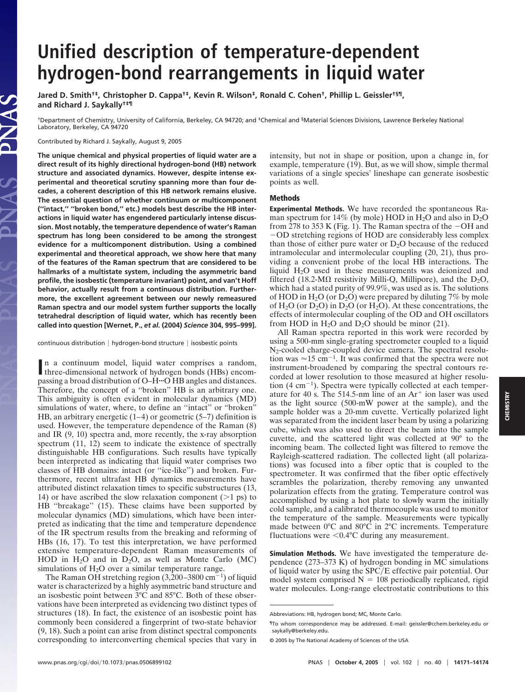## **Unified description of temperature-dependent hydrogen-bond rearrangements in liquid water**

**Jared D. Smith†‡, Christopher D. Cappa†‡, Kevin R. Wilson‡, Ronald C. Cohen†, Phillip L. Geissler†§¶, and Richard J. Saykally†‡¶**

†Department of Chemistry, University of California, Berkeley, CA 94720; and ‡Chemical and §Material Sciences Divisions, Lawrence Berkeley National Laboratory, Berkeley, CA 94720

Contributed by Richard J. Saykally, August 9, 2005

LAS

**The unique chemical and physical properties of liquid water are a direct result of its highly directional hydrogen-bond (HB) network structure and associated dynamics. However, despite intense experimental and theoretical scrutiny spanning more than four decades, a coherent description of this HB network remains elusive. The essential question of whether continuum or multicomponent (''intact,'' ''broken bond,'' etc.) models best describe the HB interactions in liquid water has engendered particularly intense discussion. Most notably, the temperature dependence of water's Raman spectrum has long been considered to be among the strongest evidence for a multicomponent distribution. Using a combined experimental and theoretical approach, we show here that many of the features of the Raman spectrum that are considered to be hallmarks of a multistate system, including the asymmetric band profile, the isosbestic (temperature invariant) point, and van't Hoff behavior, actually result from a continuous distribution. Furthermore, the excellent agreement between our newly remeasured Raman spectra and our model system further supports the locally tetrahedral description of liquid water, which has recently been called into question [Wernet, P.,** *et al.* **(2004)** *Science* **304, 995–999].**

continuous distribution | hydrogen-bond structure | isosbestic points

In a continuum model, liquid water comprises a random, three-dimensional network of hydrogen bonds (HBs) encomthree-dimensional network of hydrogen bonds (HBs) encompassing a broad distribution of O–H<sup>o</sup> HB angles and distances. Therefore, the concept of a ''broken'' HB is an arbitrary one. This ambiguity is often evident in molecular dynamics (MD) simulations of water, where, to define an "intact" or "broken" HB, an arbitrary energetic  $(1-4)$  or geometric  $(5-7)$  definition is used. However, the temperature dependence of the Raman (8) and IR (9, 10) spectra and, more recently, the x-ray absorption spectrum  $(11, 12)$  seem to indicate the existence of spectrally distinguishable HB configurations. Such results have typically been interpreted as indicating that liquid water comprises two classes of HB domains: intact (or ''ice-like'') and broken. Furthermore, recent ultrafast HB dynamics measurements have attributed distinct relaxation times to specific substructures (13, 14) or have ascribed the slow relaxation component  $(>1 \text{ ps})$  to HB "breakage" (15). These claims have been supported by molecular dynamics (MD) simulations, which have been interpreted as indicating that the time and temperature dependence of the IR spectrum results from the breaking and reforming of HBs (16, 17). To test this interpretation, we have performed extensive temperature-dependent Raman measurements of HOD in  $H_2O$  and in  $D_2O$ , as well as Monte Carlo (MC) simulations of  $H_2O$  over a similar temperature range.

The Raman OH stretching region  $(3,200-3800 \text{ cm}^{-1})$  of liquid water is characterized by a highly asymmetric band structure and an isosbestic point between 3°C and 85°C. Both of these observations have been interpreted as evidencing two distinct types of structures (18). In fact, the existence of an isosbestic point has commonly been considered a fingerprint of two-state behavior (9, 18). Such a point can arise from distinct spectral components corresponding to interconverting chemical species that vary in

intensity, but not in shape or position, upon a change in, for example, temperature (19). But, as we will show, simple thermal variations of a single species' lineshape can generate isosbestic points as well.

## **Methods**

**Experimental Methods.** We have recorded the spontaneous Raman spectrum for 14% (by mole) HOD in  $H_2O$  and also in  $D_2O$ from 278 to 353 K (Fig. 1). The Raman spectra of the  $-OH$  and -OD stretching regions of HOD are considerably less complex than those of either pure water or  $D_2O$  because of the reduced intramolecular and intermolecular coupling (20, 21), thus providing a convenient probe of the local HB interactions. The liquid H2O used in these measurements was deionized and filtered (18.2-M $\Omega$  resistivity Milli-Q, Millipore), and the D<sub>2</sub>O, which had a stated purity of 99.9%, was used as is. The solutions of HOD in  $H_2O$  (or  $D_2O$ ) were prepared by diluting 7% by mole of  $H_2O$  (or  $D_2O$ ) in  $D_2O$  (or  $H_2O$ ). At these concentrations, the effects of intermolecular coupling of the OD and OH oscillators from HOD in  $H_2O$  and  $D_2O$  should be minor (21).

All Raman spectra reported in this work were recorded by using a 500-mm single-grating spectrometer coupled to a liquid  $N_2$ -cooled charge-coupled device camera. The spectral resolution was  $\approx 15$  cm<sup>-1</sup>. It was confirmed that the spectra were not instrument-broadened by comparing the spectral contours recorded at lower resolution to those measured at higher resolution (4 cm-1). Spectra were typically collected at each temperature for 40 s. The 514.5-nm line of an  $Ar<sup>+</sup>$  ion laser was used as the light source (500-mW power at the sample), and the sample holder was a 20-mm cuvette. Vertically polarized light was separated from the incident laser beam by using a polarizing cube, which was also used to direct the beam into the sample cuvette, and the scattered light was collected at 90° to the incoming beam. The collected light was filtered to remove the Rayleigh-scattered radiation. The collected light (all polarizations) was focused into a fiber optic that is coupled to the spectrometer. It was confirmed that the fiber optic effectively scrambles the polarization, thereby removing any unwanted polarization effects from the grating. Temperature control was accomplished by using a hot plate to slowly warm the initially cold sample, and a calibrated thermocouple was used to monitor the temperature of the sample. Measurements were typically made between 0°C and 80°C in 2°C increments. Temperature fluctuations were  $\leq 0.4$ °C during any measurement.

**Simulation Methods.** We have investigated the temperature dependence (273–373 K) of hydrogen bonding in MC simulations of liquid water by using the SPC/E effective pair potential. Our model system comprised  $N = 108$  periodically replicated, rigid water molecules. Long-range electrostatic contributions to this

Abbreviations: HB, hydrogen bond; MC, Monte Carlo.

<sup>¶</sup>To whom correspondence may be addressed. E-mail: geissler@cchem.berkeley.edu or saykally@berkeley.edu.

<sup>© 2005</sup> by The National Academy of Sciences of the USA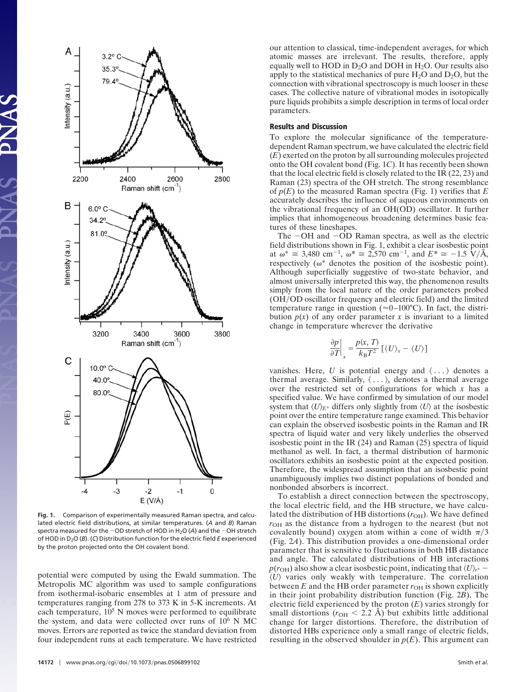

**Fig. 1.** Comparison of experimentally measured Raman spectra, and calculated electric field distributions, at similar temperatures. (*A* and *B*) Raman spectra measured for the -OD stretch of HOD in H2O (*A*) and the -OH stretch of HOD in D2O (*B*). (*C*) Distribution function for the electric field *E* experienced by the proton projected onto the OH covalent bond.

potential were computed by using the Ewald summation. The Metropolis MC algorithm was used to sample configurations from isothermal-isobaric ensembles at 1 atm of pressure and temperatures ranging from 278 to 373 K in 5-K increments. At each temperature,  $10^5$  N moves were performed to equilibrate the system, and data were collected over runs of  $10^6$  N MC moves. Errors are reported as twice the standard deviation from four independent runs at each temperature. We have restricted our attention to classical, time-independent averages, for which atomic masses are irrelevant. The results, therefore, apply equally well to HOD in  $D_2O$  and DOH in  $H_2O$ . Our results also apply to the statistical mechanics of pure  $H_2O$  and  $D_2O$ , but the connection with vibrational spectroscopy is much looser in these cases. The collective nature of vibrational modes in isotopically pure liquids prohibits a simple description in terms of local order parameters.

## **Results and Discussion**

To explore the molecular significance of the temperaturedependent Raman spectrum, we have calculated the electric field (*E*) exerted on the proton by all surrounding molecules projected onto the OH covalent bond (Fig. 1*C*). It has recently been shown that the local electric field is closely related to the IR (22, 23) and Raman (23) spectra of the OH stretch. The strong resemblance of *p*(*E*) to the measured Raman spectra (Fig. 1) verifies that *E* accurately describes the influence of aqueous environments on the vibrational frequency of an OH(OD) oscillator. It further implies that inhomogeneous broadening determines basic features of these lineshapes.

The -OH and -OD Raman spectra, as well as the electric field distributions shown in Fig. 1, exhibit a clear isosbestic point at  $\omega^* \cong 3{,}480 \text{ cm}^{-1}, \ \omega^* \cong 2{,}570 \text{ cm}^{-1}, \text{ and } E^* \cong -1.5 \text{ V/A},$ respectively ( $\omega^*$  denotes the position of the isosbestic point). Although superficially suggestive of two-state behavior, and almost universally interpreted this way, the phenomenon results simply from the local nature of the order parameters probed (OH/OD oscillator frequency and electric field) and the limited temperature range in question ( $\approx 0-100$ °C). In fact, the distribution  $p(x)$  of any order parameter x is invariant to a limited change in temperature wherever the derivative

$$
\frac{\partial p}{\partial T}\bigg|_x = \frac{p(x, T)}{k_\mathrm{B} T^2} \left[ \langle U \rangle_x - \langle U \rangle \right]
$$

vanishes. Here, U is potential energy and  $\langle \ldots \rangle$  denotes a thermal average. Similarly,  $\langle \ldots \rangle_x$  denotes a thermal average over the restricted set of configurations for which *x* has a specified value. We have confirmed by simulation of our model system that  $\langle U \rangle_{E^*}$  differs only slightly from  $\langle U \rangle$  at the isosbestic point over the entire temperature range examined. This behavior can explain the observed isosbestic points in the Raman and IR spectra of liquid water and very likely underlies the observed isosbestic point in the IR (24) and Raman (25) spectra of liquid methanol as well. In fact, a thermal distribution of harmonic oscillators exhibits an isosbestic point at the expected position. Therefore, the widespread assumption that an isosbestic point unambiguously implies two distinct populations of bonded and nonbonded absorbers is incorrect.

To establish a direct connection between the spectroscopy, the local electric field, and the HB structure, we have calculated the distribution of HB distortions  $(r_{OH})$ . We have defined  $r<sub>OH</sub>$  as the distance from a hydrogen to the nearest (but not covalently bound) oxygen atom within a cone of width  $\pi/3$ (Fig. 2*A*). This distribution provides a one-dimensional order parameter that is sensitive to fluctuations in both HB distance and angle. The calculated distributions of HB interactions  $p(r_{\rm OH})$  also show a clear isosbestic point, indicating that  $\langle U \rangle_{r^*}$  –  $\langle U \rangle$  varies only weakly with temperature. The correlation between  $E$  and the HB order parameter  $r_{OH}$  is shown explicitly in their joint probability distribution function (Fig. 2*B*). The electric field experienced by the proton (*E*) varies strongly for small distortions ( $r_{\text{OH}}$  < 2.2 Å) but exhibits little additional change for larger distortions. Therefore, the distribution of distorted HBs experience only a small range of electric fields, resulting in the observed shoulder in  $p(E)$ . This argument can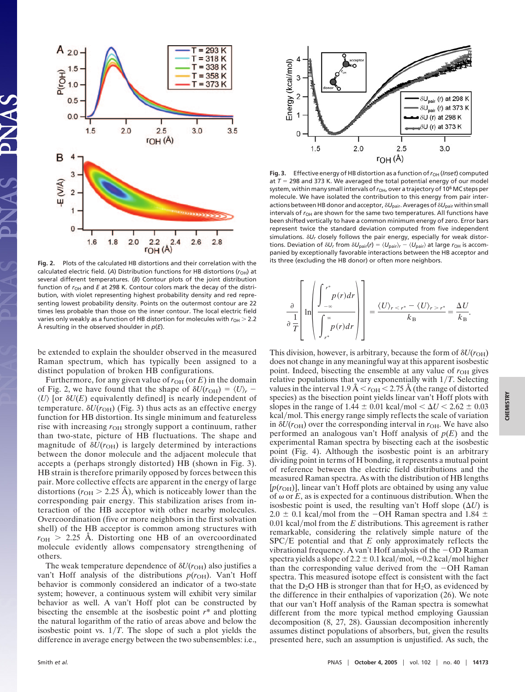

**Fig. 2.** Plots of the calculated HB distortions and their correlation with the calculated electric field. (A) Distribution functions for HB distortions ( $r<sub>OH</sub>$ ) at several different temperatures. (*B*) Contour plots of the joint distribution function of  $r_{\text{OH}}$  and *E* at 298 K. Contour colors mark the decay of the distribution, with violet representing highest probability density and red representing lowest probability density. Points on the outermost contour are 22 times less probable than those on the inner contour. The local electric field varies only weakly as a function of HB distortion for molecules with  $r_{OH}$  > 2.2 Å resulting in the observed shoulder in *p*(*E*).

be extended to explain the shoulder observed in the measured Raman spectrum, which has typically been assigned to a distinct population of broken HB configurations.

Furthermore, for any given value of  $r_{OH}$  (or *E*) in the domain of Fig. 2, we have found that the shape of  $\delta U(r_{\text{OH}}) = \langle U \rangle_r$  - $\langle U \rangle$  [or  $\delta U(E)$  equivalently defined] is nearly independent of temperature.  $\delta U(r_{\text{OH}})$  (Fig. 3) thus acts as an effective energy function for HB distortion. Its single minimum and featureless rise with increasing  $r<sub>OH</sub>$  strongly support a continuum, rather than two-state, picture of HB fluctuations. The shape and magnitude of  $\delta U(r_{\text{OH}})$  is largely determined by interactions between the donor molecule and the adjacent molecule that accepts a (perhaps strongly distorted) HB (shown in Fig. 3). HB strain is therefore primarily opposed by forces between this pair. More collective effects are apparent in the energy of large distortions  $(r_{\text{OH}} > 2.25 \text{ Å})$ , which is noticeably lower than the corresponding pair energy. This stabilization arises from interaction of the HB acceptor with other nearby molecules. Overcoordination (five or more neighbors in the first solvation shell) of the HB acceptor is common among structures with  $r_{\text{OH}} > 2.25$  Å. Distorting one HB of an overcoordinated molecule evidently allows compensatory strengthening of others.

The weak temperature dependence of  $\delta U(r_{\text{OH}})$  also justifies a van't Hoff analysis of the distributions  $p(r_{\text{OH}})$ . Van't Hoff behavior is commonly considered an indicator of a two-state system; however, a continuous system will exhibit very similar behavior as well. A van't Hoff plot can be constructed by bisecting the ensemble at the isosbestic point *r\** and plotting the natural logarithm of the ratio of areas above and below the isosbestic point vs.  $1/T$ . The slope of such a plot yields the difference in average energy between the two subensembles: i.e.,



**Fig. 3.** Effective energy of HB distortion as a function of  $r_{OH}$  (*Inset*) computed at  $T = 298$  and 373 K. We averaged the total potential energy of our model system, within many small intervals of  $r<sub>OH</sub>$ , over a trajectory of 10<sup>6</sup> MC steps per molecule. We have isolated the contribution to this energy from pair interactions between HB donor and acceptor,  $\delta U_{\text{pair}}$ . Averages of  $\delta U_{\text{pair}}$  within small intervals of  $r_{OH}$  are shown for the same two temperatures. All functions have been shifted vertically to have a common minimum energy of zero. Error bars represent twice the standard deviation computed from five independent simulations.  $\delta U_r$  closely follows the pair energy, especially for weak distortions. Deviation of  $\delta U_r$  from  $\delta U_{pair}(r) = \langle U_{pair} \rangle_r - \langle U_{pair} \rangle$  at large  $r_{OH}$  is accompanied by exceptionally favorable interactions between the HB acceptor and its three (excluding the HB donor) or often more neighbors.

$$
\frac{\partial}{\partial \frac{1}{T}}\left[\ln\left(\frac{\int_{-\infty}^{r^*} p(r)dr}{\int_{r^*}^{\infty} p(r)dr}\right)\right] = \frac{\langle U \rangle_{r < r^*} - \langle U \rangle_{r > r^*}}{k_B} = \frac{\Delta U}{k_B}.
$$

This division, however, is arbitrary, because the form of  $\delta U(r_{\text{OH}})$ does not change in any meaningful way at this apparent isosbestic point. Indeed, bisecting the ensemble at any value of  $r_{OH}$  gives relative populations that vary exponentially with  $1/T$ . Selecting values in the interval  $1.9 \text{ Å} < r_{\text{OH}} < 2.75 \text{ Å}$  (the range of distorted species) as the bisection point yields linear van't Hoff plots with slopes in the range of  $1.44 \pm 0.01$  kcal/mol  $< \Delta U < 2.62 \pm 0.03$ kcal/mol. This energy range simply reflects the scale of variation in  $\delta U(r_{\text{OH}})$  over the corresponding interval in  $r_{\text{OH}}$ . We have also performed an analogous van't Hoff analysis of  $p(E)$  and the experimental Raman spectra by bisecting each at the isosbestic point (Fig. 4). Although the isosbestic point is an arbitrary dividing point in terms of H bonding, it represents a mutual point of reference between the electric field distributions and the measured Raman spectra. As with the distribution of HB lengths  $[p(r_{OH})]$ , linear van't Hoff plots are obtained by using any value of  $\omega$  or  $E$ , as is expected for a continuous distribution. When the isosbestic point is used, the resulting van't Hoff slope  $(\Delta U)$  is  $2.0 \pm 0.1$  kcal/mol from the -OH Raman spectra and 1.84  $\pm$  $0.01$  kcal/mol from the *E* distributions. This agreement is rather remarkable, considering the relatively simple nature of the  $SPC/E$  potential and that  $E$  only approximately reflects the vibrational frequency. A van't Hoff analysis of the -OD Raman spectra yields a slope of 2.2  $\pm$  0.1 kcal/mol,  $\approx$ 0.2 kcal/mol higher than the corresponding value derived from the  $-OH$  Raman spectra. This measured isotope effect is consistent with the fact that the  $D_2O$  HB is stronger than that for  $H_2O$ , as evidenced by the difference in their enthalpies of vaporization (26). We note that our van't Hoff analysis of the Raman spectra is somewhat different from the more typical method employing Gaussian decomposition (8, 27, 28). Gaussian decomposition inherently assumes distinct populations of absorbers, but, given the results presented here, such an assumption is unjustified. As such, the